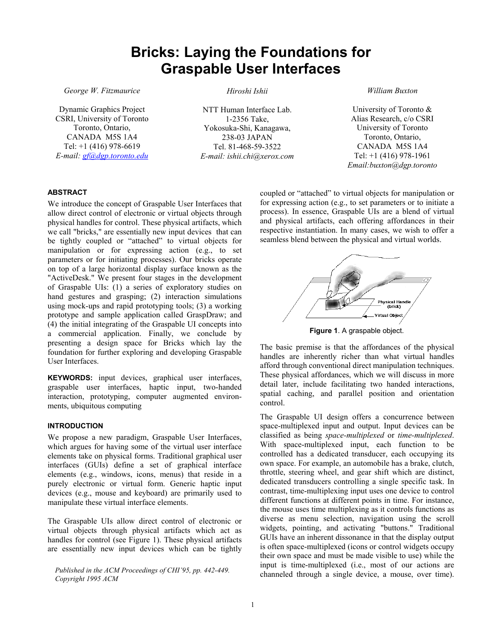# **Bricks: Laying the Foundations for Graspable User Interfaces**

*George W. Fitzmaurice* 

Dynamic Graphics Project CSRI, University of Toronto Toronto, Ontario, CANADA M5S 1A4 Tel: +1 (416) 978-6619 *E-mail: [gf@dgp.toronto.edu](mailto:gf@dgp.toronto.edu)* *Hiroshi Ishii* 

NTT Human Interface Lab. 1-2356 Take, Yokosuka-Shi, Kanagawa, 238-03 JAPAN Tel. 81-468-59-3522 *E-mail: ishii.chi@xerox.com* *William Buxton*

University of Toronto & Alias Research, c/o CSRI University of Toronto Toronto, Ontario, CANADA M5S 1A4 Tel: +1 (416) 978-1961 *Email:buxton@dgp.toronto*

## **ABSTRACT**

We introduce the concept of Graspable User Interfaces that allow direct control of electronic or virtual objects through physical handles for control. These physical artifacts, which we call "bricks," are essentially new input devices that can be tightly coupled or "attached" to virtual objects for manipulation or for expressing action (e.g., to set parameters or for initiating processes). Our bricks operate on top of a large horizontal display surface known as the "ActiveDesk." We present four stages in the development of Graspable UIs: (1) a series of exploratory studies on hand gestures and grasping; (2) interaction simulations using mock-ups and rapid prototyping tools; (3) a working prototype and sample application called GraspDraw; and (4) the initial integrating of the Graspable UI concepts into a commercial application. Finally, we conclude by presenting a design space for Bricks which lay the foundation for further exploring and developing Graspable User Interfaces.

**KEYWORDS:** input devices, graphical user interfaces, graspable user interfaces, haptic input, two-handed interaction, prototyping, computer augmented environments, ubiquitous computing

# **INTRODUCTION**

We propose a new paradigm, Graspable User Interfaces, which argues for having some of the virtual user interface elements take on physical forms. Traditional graphical user interfaces (GUIs) define a set of graphical interface elements (e.g., windows, icons, menus) that reside in a purely electronic or virtual form. Generic haptic input devices (e.g., mouse and keyboard) are primarily used to manipulate these virtual interface elements.

The Graspable UIs allow direct control of electronic or virtual objects through physical artifacts which act as handles for control (see Figure 1). These physical artifacts are essentially new input devices which can be tightly

*Copyright 1995 ACM* 

coupled or "attached" to virtual objects for manipulation or for expressing action (e.g., to set parameters or to initiate a process). In essence, Graspable UIs are a blend of virtual and physical artifacts, each offering affordances in their respective instantiation. In many cases, we wish to offer a seamless blend between the physical and virtual worlds.



**Figure 1**. A graspable object.

The basic premise is that the affordances of the physical handles are inherently richer than what virtual handles afford through conventional direct manipulation techniques. These physical affordances, which we will discuss in more detail later, include facilitating two handed interactions, spatial caching, and parallel position and orientation control.

The Graspable UI design offers a concurrence between space-multiplexed input and output. Input devices can be classified as being *space-multiplexed* or *time-multiplexed*. With space-multiplexed input, each function to be controlled has a dedicated transducer, each occupying its own space. For example, an automobile has a brake, clutch, throttle, steering wheel, and gear shift which are distinct, dedicated transducers controlling a single specific task. In contrast, time-multiplexing input uses one device to control different functions at different points in time. For instance, the mouse uses time multiplexing as it controls functions as diverse as menu selection, navigation using the scroll widgets, pointing, and activating "buttons." Traditional GUIs have an inherent dissonance in that the display output is often space-multiplexed (icons or control widgets occupy their own space and must be made visible to use) while the input is time-multiplexed (i.e., most of our actions are channeled through a single device, a mouse, over time). *Published in the ACM Proceedings of CHI'95, pp. 442-449.*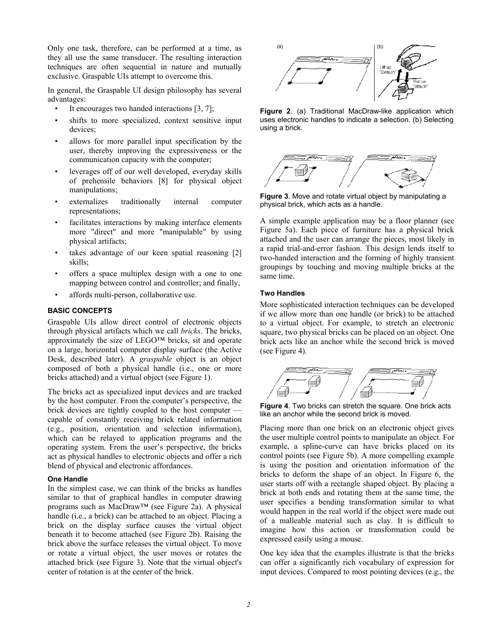Only one task, therefore, can be performed at a time, as they all use the same transducer. The resulting interaction techniques are often sequential in nature and mutually exclusive. Graspable UIs attempt to overcome this.

In general, the Graspable UI design philosophy has several advantages:

- It encourages two handed interactions [3, 7];
- shifts to more specialized, context sensitive input devices;
- allows for more parallel input specification by the user, thereby improving the expressiveness or the communication capacity with the computer;
- leverages off of our well developed, everyday skills of prehensile behaviors [8] for physical object manipulations;
- externalizes traditionally internal computer representations;
- facilitates interactions by making interface elements more "direct" and more "manipulable" by using physical artifacts;
- takes advantage of our keen spatial reasoning [2] skills;
- offers a space multiplex design with a one to one mapping between control and controller; and finally,
- affords multi-person, collaborative use.

#### **BASIC CONCEPTS**

Graspable UIs allow direct control of electronic objects through physical artifacts which we call *bricks*. The bricks, approximately the size of LEGO™ bricks, sit and operate on a large, horizontal computer display surface (the Active Desk, described later). A *graspable* object is an object composed of both a physical handle (i.e., one or more bricks attached) and a virtual object (see Figure 1).

The bricks act as specialized input devices and are tracked by the host computer. From the computer's perspective, the brick devices are tightly coupled to the host computer capable of constantly receiving brick related information (e.g., position, orientation and selection information), which can be relayed to application programs and the operating system. From the user's perspective, the bricks act as physical handles to electronic objects and offer a rich blend of physical and electronic affordances.

#### **One Handle**

In the simplest case, we can think of the bricks as handles similar to that of graphical handles in computer drawing programs such as MacDraw™ (see Figure 2a). A physical handle (i.e., a brick) can be attached to an object. Placing a brick on the display surface causes the virtual object beneath it to become attached (see Figure 2b). Raising the brick above the surface releases the virtual object. To move or rotate a virtual object, the user moves or rotates the attached brick (see Figure 3). Note that the virtual object's center of rotation is at the center of the brick.



**Figure 2**. (a) Traditional MacDraw-like application which uses electronic handles to indicate a selection. (b) Selecting using a brick.



**Figure 3**. Move and rotate virtual object by manipulating a physical brick, which acts as a handle.

A simple example application may be a floor planner (see Figure 5a). Each piece of furniture has a physical brick attached and the user can arrange the pieces, most likely in a rapid trial-and-error fashion. This design lends itself to two-handed interaction and the forming of highly transient groupings by touching and moving multiple bricks at the same time.

#### **Two Handles**

More sophisticated interaction techniques can be developed if we allow more than one handle (or brick) to be attached to a virtual object. For example, to stretch an electronic square, two physical bricks can be placed on an object. One brick acts like an anchor while the second brick is moved (see Figure 4).



**Figure 4**. Two bricks can stretch the square. One brick acts like an anchor while the second brick is moved.

Placing more than one brick on an electronic object gives the user multiple control points to manipulate an object. For example, a spline-curve can have bricks placed on its control points (see Figure 5b). A more compelling example is using the position and orientation information of the bricks to deform the shape of an object. In Figure 6, the user starts off with a rectangle shaped object. By placing a brick at both ends and rotating them at the same time, the user specifies a bending transformation similar to what would happen in the real world if the object were made out of a malleable material such as clay. It is difficult to imagine how this action or transformation could be expressed easily using a mouse.

One key idea that the examples illustrate is that the bricks can offer a significantly rich vocabulary of expression for input devices. Compared to most pointing devices (e.g., the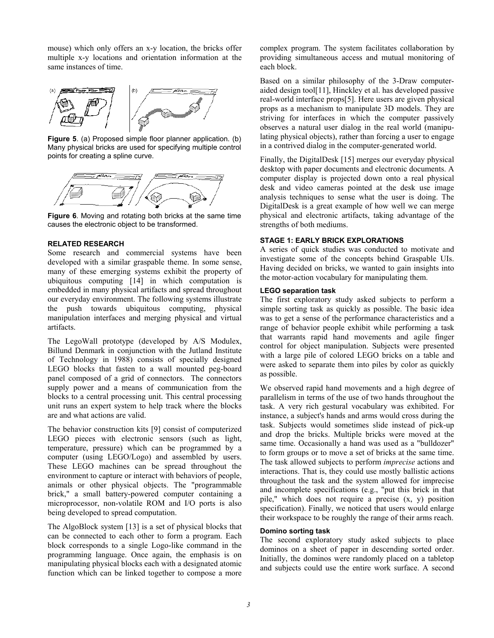mouse) which only offers an x-y location, the bricks offer multiple x-y locations and orientation information at the same instances of time.



**Figure 5**. (a) Proposed simple floor planner application. (b) Many physical bricks are used for specifying multiple control points for creating a spline curve.



**Figure 6**. Moving and rotating both bricks at the same time causes the electronic object to be transformed.

## **RELATED RESEARCH**

Some research and commercial systems have been developed with a similar graspable theme. In some sense, many of these emerging systems exhibit the property of ubiquitous computing [14] in which computation is embedded in many physical artifacts and spread throughout our everyday environment. The following systems illustrate the push towards ubiquitous computing, physical manipulation interfaces and merging physical and virtual artifacts.

The LegoWall prototype (developed by A/S Modulex, Billund Denmark in conjunction with the Jutland Institute of Technology in 1988) consists of specially designed LEGO blocks that fasten to a wall mounted peg-board panel composed of a grid of connectors. The connectors supply power and a means of communication from the blocks to a central processing unit. This central processing unit runs an expert system to help track where the blocks are and what actions are valid.

The behavior construction kits [9] consist of computerized LEGO pieces with electronic sensors (such as light, temperature, pressure) which can be programmed by a computer (using LEGO/Logo) and assembled by users. These LEGO machines can be spread throughout the environment to capture or interact with behaviors of people, animals or other physical objects. The "programmable brick," a small battery-powered computer containing a microprocessor, non-volatile ROM and I/O ports is also being developed to spread computation.

The AlgoBlock system [13] is a set of physical blocks that can be connected to each other to form a program. Each block corresponds to a single Logo-like command in the programming language. Once again, the emphasis is on manipulating physical blocks each with a designated atomic function which can be linked together to compose a more complex program. The system facilitates collaboration by providing simultaneous access and mutual monitoring of each block.

Based on a similar philosophy of the 3-Draw computeraided design tool[11], Hinckley et al. has developed passive real-world interface props[5]. Here users are given physical props as a mechanism to manipulate 3D models. They are striving for interfaces in which the computer passively observes a natural user dialog in the real world (manipulating physical objects), rather than forcing a user to engage in a contrived dialog in the computer-generated world.

Finally, the DigitalDesk [15] merges our everyday physical desktop with paper documents and electronic documents. A computer display is projected down onto a real physical desk and video cameras pointed at the desk use image analysis techniques to sense what the user is doing. The DigitalDesk is a great example of how well we can merge physical and electronic artifacts, taking advantage of the strengths of both mediums.

## **STAGE 1: EARLY BRICK EXPLORATIONS**

A series of quick studies was conducted to motivate and investigate some of the concepts behind Graspable UIs. Having decided on bricks, we wanted to gain insights into the motor-action vocabulary for manipulating them.

#### **LEGO separation task**

The first exploratory study asked subjects to perform a simple sorting task as quickly as possible. The basic idea was to get a sense of the performance characteristics and a range of behavior people exhibit while performing a task that warrants rapid hand movements and agile finger control for object manipulation. Subjects were presented with a large pile of colored LEGO bricks on a table and were asked to separate them into piles by color as quickly as possible.

We observed rapid hand movements and a high degree of parallelism in terms of the use of two hands throughout the task. A very rich gestural vocabulary was exhibited. For instance, a subject's hands and arms would cross during the task. Subjects would sometimes slide instead of pick-up and drop the bricks. Multiple bricks were moved at the same time. Occasionally a hand was used as a "bulldozer" to form groups or to move a set of bricks at the same time. The task allowed subjects to perform *imprecise* actions and interactions. That is, they could use mostly ballistic actions throughout the task and the system allowed for imprecise and incomplete specifications (e.g., "put this brick in that pile," which does not require a precise (x, y) position specification). Finally, we noticed that users would enlarge their workspace to be roughly the range of their arms reach.

# **Domino sorting task**

The second exploratory study asked subjects to place dominos on a sheet of paper in descending sorted order. Initially, the dominos were randomly placed on a tabletop and subjects could use the entire work surface. A second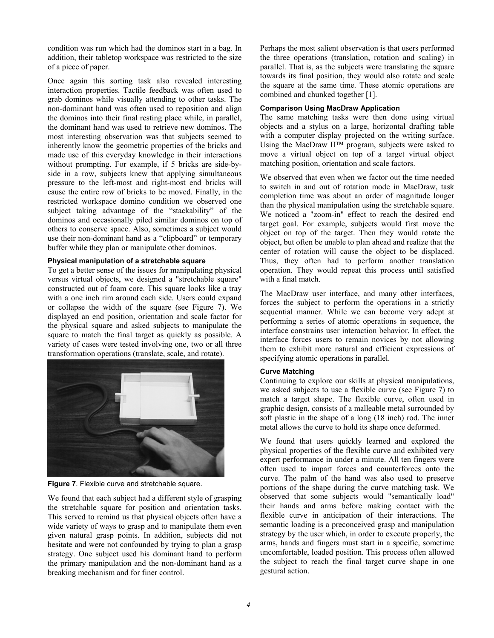condition was run which had the dominos start in a bag. In addition, their tabletop workspace was restricted to the size of a piece of paper.

Once again this sorting task also revealed interesting interaction properties. Tactile feedback was often used to grab dominos while visually attending to other tasks. The non-dominant hand was often used to reposition and align the dominos into their final resting place while, in parallel, the dominant hand was used to retrieve new dominos. The most interesting observation was that subjects seemed to inherently know the geometric properties of the bricks and made use of this everyday knowledge in their interactions without prompting. For example, if 5 bricks are side-byside in a row, subjects knew that applying simultaneous pressure to the left-most and right-most end bricks will cause the entire row of bricks to be moved. Finally, in the restricted workspace domino condition we observed one subject taking advantage of the "stackability" of the dominos and occasionally piled similar dominos on top of others to conserve space. Also, sometimes a subject would use their non-dominant hand as a "clipboard" or temporary buffer while they plan or manipulate other dominos.

### **Physical manipulation of a stretchable square**

To get a better sense of the issues for manipulating physical versus virtual objects, we designed a "stretchable square" constructed out of foam core. This square looks like a tray with a one inch rim around each side. Users could expand or collapse the width of the square (see Figure 7). We displayed an end position, orientation and scale factor for the physical square and asked subjects to manipulate the square to match the final target as quickly as possible. A variety of cases were tested involving one, two or all three transformation operations (translate, scale, and rotate).



**Figure 7**. Flexible curve and stretchable square.

We found that each subject had a different style of grasping the stretchable square for position and orientation tasks. This served to remind us that physical objects often have a wide variety of ways to grasp and to manipulate them even given natural grasp points. In addition, subjects did not hesitate and were not confounded by trying to plan a grasp strategy. One subject used his dominant hand to perform the primary manipulation and the non-dominant hand as a breaking mechanism and for finer control.

Perhaps the most salient observation is that users performed the three operations (translation, rotation and scaling) in parallel. That is, as the subjects were translating the square towards its final position, they would also rotate and scale the square at the same time. These atomic operations are combined and chunked together [1].

## **Comparison Using MacDraw Application**

The same matching tasks were then done using virtual objects and a stylus on a large, horizontal drafting table with a computer display projected on the writing surface. Using the MacDraw II™ program, subjects were asked to move a virtual object on top of a target virtual object matching position, orientation and scale factors.

We observed that even when we factor out the time needed to switch in and out of rotation mode in MacDraw, task completion time was about an order of magnitude longer than the physical manipulation using the stretchable square. We noticed a "zoom-in" effect to reach the desired end target goal. For example, subjects would first move the object on top of the target. Then they would rotate the object, but often be unable to plan ahead and realize that the center of rotation will cause the object to be displaced. Thus, they often had to perform another translation operation. They would repeat this process until satisfied with a final match.

The MacDraw user interface, and many other interfaces, forces the subject to perform the operations in a strictly sequential manner. While we can become very adept at performing a series of atomic operations in sequence, the interface constrains user interaction behavior. In effect, the interface forces users to remain novices by not allowing them to exhibit more natural and efficient expressions of specifying atomic operations in parallel.

# **Curve Matching**

Continuing to explore our skills at physical manipulations, we asked subjects to use a flexible curve (see Figure 7) to match a target shape. The flexible curve, often used in graphic design, consists of a malleable metal surrounded by soft plastic in the shape of a long (18 inch) rod. The inner metal allows the curve to hold its shape once deformed.

We found that users quickly learned and explored the physical properties of the flexible curve and exhibited very expert performance in under a minute. All ten fingers were often used to impart forces and counterforces onto the curve. The palm of the hand was also used to preserve portions of the shape during the curve matching task. We observed that some subjects would "semantically load" their hands and arms before making contact with the flexible curve in anticipation of their interactions. The semantic loading is a preconceived grasp and manipulation strategy by the user which, in order to execute properly, the arms, hands and fingers must start in a specific, sometime uncomfortable, loaded position. This process often allowed the subject to reach the final target curve shape in one gestural action.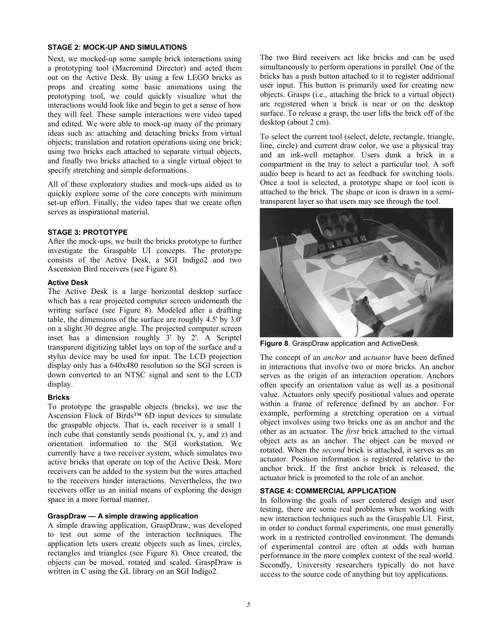#### **STAGE 2: MOCK-UP AND SIMULATIONS**

Next, we mocked-up some sample brick interactions using a prototyping tool (Macromind Director) and acted them out on the Active Desk. By using a few LEGO bricks as props and creating some basic animations using the prototyping tool, we could quickly visualize what the interactions would look like and begin to get a sense of how they will feel. These sample interactions were video taped and edited. We were able to mock-up many of the primary ideas such as: attaching and detaching bricks from virtual objects; translation and rotation operations using one brick; using two bricks each attached to separate virtual objects, and finally two bricks attached to a single virtual object to specify stretching and simple deformations.

All of these exploratory studies and mock-ups aided us to quickly explore some of the core concepts with minimum set-up effort. Finally, the video tapes that we create often serves as inspirational material.

#### **STAGE 3: PROTOTYPE**

After the mock-ups, we built the bricks prototype to further investigate the Graspable UI concepts. The prototype consists of the Active Desk, a SGI Indigo2 and two Ascension Bird receivers (see Figure 8).

#### **Active Desk**

The Active Desk is a large horizontal desktop surface which has a rear projected computer screen underneath the writing surface (see Figure 8). Modeled after a drafting table, the dimensions of the surface are roughly 4.5' by 3.0' on a slight 30 degree angle. The projected computer screen inset has a dimension roughly 3' by 2'. A Scriptel transparent digitizing tablet lays on top of the surface and a stylus device may be used for input. The LCD projection display only has a 640x480 resolution so the SGI screen is down converted to an NTSC signal and sent to the LCD display.

#### **Bricks**

To prototype the graspable objects (bricks), we use the Ascension Flock of Birds™ 6D input devices to simulate the graspable objects. That is, each receiver is a small 1 inch cube that constantly sends positional  $(x, y, and z)$  and orientation information to the SGI workstation. We currently have a two receiver system, which simulates two active bricks that operate on top of the Active Desk. More receivers can be added to the system but the wires attached to the receivers hinder interactions. Nevertheless, the two receivers offer us an initial means of exploring the design space in a more formal manner.

#### **GraspDraw — A simple drawing application**

A simple drawing application, GraspDraw, was developed to test out some of the interaction techniques. The application lets users create objects such as lines, circles, rectangles and triangles (see Figure 8). Once created, the objects can be moved, rotated and scaled. GraspDraw is written in C using the GL library on an SGI Indigo2.

The two Bird receivers act like bricks and can be used simultaneously to perform operations in parallel. One of the bricks has a push button attached to it to register additional user input. This button is primarily used for creating new objects. Grasps (i.e., attaching the brick to a virtual object) are registered when a brick is near or on the desktop surface. To release a grasp, the user lifts the brick off of the desktop (about 2 cm).

To select the current tool (select, delete, rectangle, triangle, line, circle) and current draw color, we use a physical tray and an ink-well metaphor. Users dunk a brick in a compartment in the tray to select a particular tool. A soft audio beep is heard to act as feedback for switching tools. Once a tool is selected, a prototype shape or tool icon is attached to the brick. The shape or icon is drawn in a semitransparent layer so that users may see through the tool.



**Figure 8**. GraspDraw application and ActiveDesk.

The concept of an *anchor* and *actuator* have been defined in interactions that involve two or more bricks. An anchor serves as the origin of an interaction operation. Anchors often specify an orientation value as well as a positional value. Actuators only specify positional values and operate within a frame of reference defined by an anchor. For example, performing a stretching operation on a virtual object involves using two bricks one as an anchor and the other as an actuator. The *first* brick attached to the virtual object acts as an anchor. The object can be moved or rotated. When the *second* brick is attached, it serves as an actuator. Position information is registered relative to the anchor brick. If the first anchor brick is released, the actuator brick is promoted to the role of an anchor.

#### **STAGE 4: COMMERCIAL APPLICATION**

In following the goals of user centered design and user testing, there are some real problems when working with new interaction techniques such as the Graspable UI. First, in order to conduct formal experiments, one must generally work in a restricted controlled environment. The demands of experimental control are often at odds with human performance in the more complex context of the real world. Secondly, University researchers typically do not have access to the source code of anything but toy applications.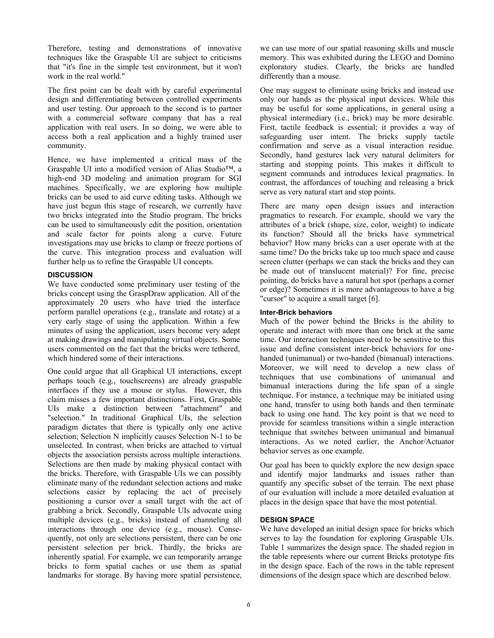Therefore, testing and demonstrations of innovative techniques like the Graspable UI are subject to criticisms that "it's fine in the simple test environment, but it won't work in the real world."

The first point can be dealt with by careful experimental design and differentiating between controlled experiments and user testing. Our approach to the second is to partner with a commercial software company that has a real application with real users. In so doing, we were able to access both a real application and a highly trained user community.

Hence, we have implemented a critical mass of the Graspable UI into a modified version of Alias Studio™, a high-end 3D modeling and animation program for SGI machines. Specifically, we are exploring how multiple bricks can be used to aid curve editing tasks. Although we have just begun this stage of research, we currently have two bricks integrated into the Studio program. The bricks can be used to simultaneously edit the position, orientation and scale factor for points along a curve. Future investigations may use bricks to clamp or freeze portions of the curve. This integration process and evaluation will further help us to refine the Graspable UI concepts.

# **DISCUSSION**

We have conducted some preliminary user testing of the bricks concept using the GraspDraw application. All of the approximately 20 users who have tried the interface perform parallel operations (e.g., translate and rotate) at a very early stage of using the application. Within a few minutes of using the application, users become very adept at making drawings and manipulating virtual objects. Some users commented on the fact that the bricks were tethered, which hindered some of their interactions.

One could argue that all Graphical UI interactions, except perhaps touch (e.g., touchscreens) are already graspable interfaces if they use a mouse or stylus. However, this claim misses a few important distinctions. First, Graspable UIs make a distinction between "attachment" and "selection." In traditional Graphical UIs, the selection paradigm dictates that there is typically only one active selection; Selection N implicitly causes Selection N-1 to be unselected. In contrast, when bricks are attached to virtual objects the association persists across multiple interactions. Selections are then made by making physical contact with the bricks. Therefore, with Graspable UIs we can possibly eliminate many of the redundant selection actions and make selections easier by replacing the act of precisely positioning a cursor over a small target with the act of grabbing a brick. Secondly, Graspable UIs advocate using multiple devices (e.g., bricks) instead of channeling all interactions through one device (e.g., mouse). Consequently, not only are selections persistent, there can be one persistent selection per brick. Thirdly, the bricks are inherently spatial. For example, we can temporarily arrange bricks to form spatial caches or use them as spatial landmarks for storage. By having more spatial persistence, we can use more of our spatial reasoning skills and muscle memory. This was exhibited during the LEGO and Domino exploratory studies. Clearly, the bricks are handled differently than a mouse.

One may suggest to eliminate using bricks and instead use only our hands as the physical input devices. While this may be useful for some applications, in general using a physical intermediary (i.e., brick) may be more desirable. First, tactile feedback is essential; it provides a way of safeguarding user intent. The bricks supply tactile confirmation and serve as a visual interaction residue. Secondly, hand gestures lack very natural delimiters for starting and stopping points. This makes it difficult to segment commands and introduces lexical pragmatics. In contrast, the affordances of touching and releasing a brick serve as very natural start and stop points.

There are many open design issues and interaction pragmatics to research. For example, should we vary the attributes of a brick (shape, size, color, weight) to indicate its function? Should all the bricks have symmetrical behavior? How many bricks can a user operate with at the same time? Do the bricks take up too much space and cause screen clutter (perhaps we can stack the bricks and they can be made out of translucent material)? For fine, precise pointing, do bricks have a natural hot spot (perhaps a corner or edge)? Sometimes it is more advantageous to have a big "cursor" to acquire a small target [6].

## **Inter-Brick behaviors**

Much of the power behind the Bricks is the ability to operate and interact with more than one brick at the same time. Our interaction techniques need to be sensitive to this issue and define consistent inter-brick behaviors for onehanded (unimanual) or two-handed (bimanual) interactions. Moreover, we will need to develop a new class of techniques that use combinations of unimanual and bimanual interactions during the life span of a single technique. For instance, a technique may be initiated using one hand, transfer to using both hands and then terminate back to using one hand. The key point is that we need to provide for seamless transitions within a single interaction technique that switches between unimanual and bimanual interactions. As we noted earlier, the Anchor/Actuator behavior serves as one example.

Our goal has been to quickly explore the new design space and identify major landmarks and issues rather than quantify any specific subset of the terrain. The next phase of our evaluation will include a more detailed evaluation at places in the design space that have the most potential.

# **DESIGN SPACE**

We have developed an initial design space for bricks which serves to lay the foundation for exploring Graspable UIs. Table 1 summarizes the design space. The shaded region in the table represents where our current Bricks prototype fits in the design space. Each of the rows in the table represent dimensions of the design space which are described below.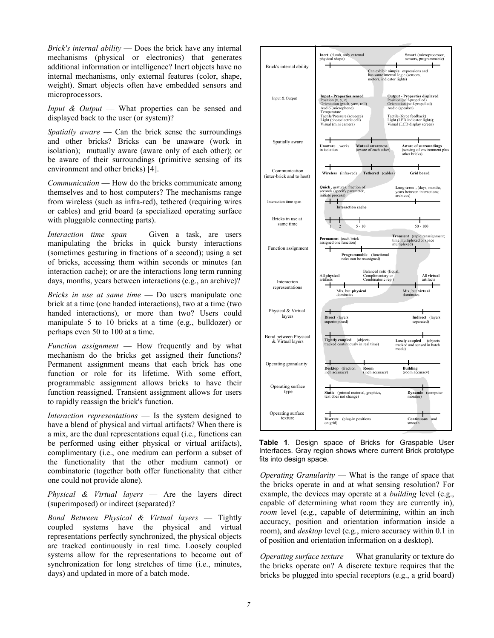*Brick's internal ability* — Does the brick have any internal mechanisms (physical or electronics) that generates additional information or intelligence? Inert objects have no internal mechanisms, only external features (color, shape, weight). Smart objects often have embedded sensors and microprocessors.

*Input & Output* — What properties can be sensed and displayed back to the user (or system)?

*Spatially aware* — Can the brick sense the surroundings and other bricks? Bricks can be unaware (work in isolation); mutually aware (aware only of each other); or be aware of their surroundings (primitive sensing of its environment and other bricks) [4].

*Communication* — How do the bricks communicate among themselves and to host computers? The mechanisms range from wireless (such as infra-red), tethered (requiring wires or cables) and grid board (a specialized operating surface with pluggable connecting parts).

*Interaction time span* — Given a task, are users manipulating the bricks in quick bursty interactions (sometimes gesturing in fractions of a second); using a set of bricks, accessing them within seconds or minutes (an interaction cache); or are the interactions long term running days, months, years between interactions (e.g., an archive)?

*Bricks in use at same time* — Do users manipulate one brick at a time (one handed interactions), two at a time (two handed interactions), or more than two? Users could manipulate 5 to 10 bricks at a time (e.g., bulldozer) or perhaps even 50 to 100 at a time.

*Function assignment* — How frequently and by what mechanism do the bricks get assigned their functions? Permanent assignment means that each brick has one function or role for its lifetime. With some effort, programmable assignment allows bricks to have their function reassigned. Transient assignment allows for users to rapidly reassign the brick's function.

*Interaction representations* — Is the system designed to have a blend of physical and virtual artifacts? When there is a mix, are the dual representations equal (i.e., functions can be performed using either physical or virtual artifacts), complimentary (i.e., one medium can perform a subset of the functionality that the other medium cannot) or combinatoric (together both offer functionality that either one could not provide alone).

*Physical & Virtual layers* — Are the layers direct (superimposed) or indirect (separated)?

*Bond Between Physical & Virtual layers* — Tightly coupled systems have the physical and virtual representations perfectly synchronized, the physical objects are tracked continuously in real time. Loosely coupled systems allow for the representations to become out of synchronization for long stretches of time (i.e., minutes, days) and updated in more of a batch mode.



**Table 1**. Design space of Bricks for Graspable User Interfaces. Gray region shows where current Brick prototype fits into design space.

*Operating Granularity* — What is the range of space that the bricks operate in and at what sensing resolution? For example, the devices may operate at a *building* level (e.g., capable of determining what room they are currently in), *room* level (e.g., capable of determining, within an inch accuracy, position and orientation information inside a room), and *desktop* level (e.g., micro accuracy within 0.1 in of position and orientation information on a desktop).

*Operating surface texture* — What granularity or texture do the bricks operate on? A discrete texture requires that the bricks be plugged into special receptors (e.g., a grid board)